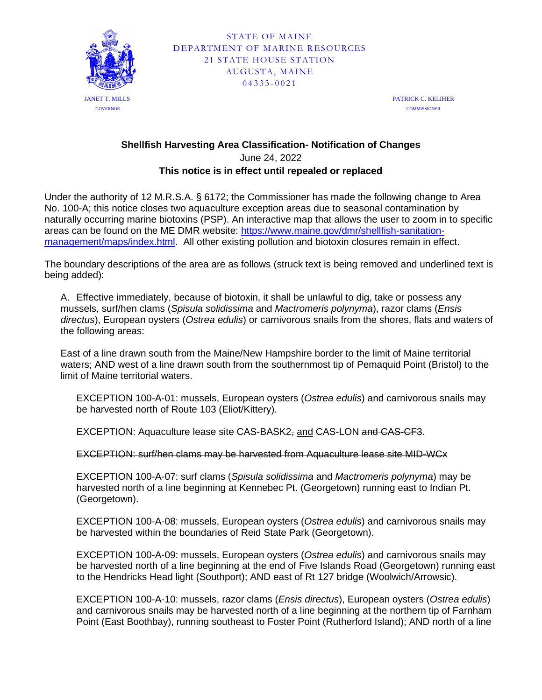

PATRICK C. KELIHER **COMMISSIONER** 

## **Shellfish Harvesting Area Classification- Notification of Changes** June 24, 2022 **This notice is in effect until repealed or replaced**

Under the authority of 12 M.R.S.A. § 6172; the Commissioner has made the following change to Area No. 100-A; this notice closes two aquaculture exception areas due to seasonal contamination by naturally occurring marine biotoxins (PSP). An interactive map that allows the user to zoom in to specific areas can be found on the ME DMR website: [https://www.maine.gov/dmr/shellfish-sanitation](https://www.maine.gov/dmr/shellfish-sanitation-management/maps/index.html)[management/maps/index.html.](https://www.maine.gov/dmr/shellfish-sanitation-management/maps/index.html) All other existing pollution and biotoxin closures remain in effect.

The boundary descriptions of the area are as follows (struck text is being removed and underlined text is being added):

A. Effective immediately, because of biotoxin, it shall be unlawful to dig, take or possess any mussels, surf/hen clams (*Spisula solidissima* and *Mactromeris polynyma*), razor clams (*Ensis directus*), European oysters (*Ostrea edulis*) or carnivorous snails from the shores, flats and waters of the following areas:

East of a line drawn south from the Maine/New Hampshire border to the limit of Maine territorial waters; AND west of a line drawn south from the southernmost tip of Pemaquid Point (Bristol) to the limit of Maine territorial waters.

EXCEPTION 100-A-01: mussels, European oysters (*Ostrea edulis*) and carnivorous snails may be harvested north of Route 103 (Eliot/Kittery).

EXCEPTION: Aquaculture lease site CAS-BASK2, and CAS-LON and CAS-CF3.

EXCEPTION: surf/hen clams may be harvested from Aquaculture lease site MID-WCx

EXCEPTION 100-A-07: surf clams (*Spisula solidissima* and *Mactromeris polynyma*) may be harvested north of a line beginning at Kennebec Pt. (Georgetown) running east to Indian Pt. (Georgetown).

EXCEPTION 100-A-08: mussels, European oysters (*Ostrea edulis*) and carnivorous snails may be harvested within the boundaries of Reid State Park (Georgetown).

EXCEPTION 100-A-09: mussels, European oysters (*Ostrea edulis*) and carnivorous snails may be harvested north of a line beginning at the end of Five Islands Road (Georgetown) running east to the Hendricks Head light (Southport); AND east of Rt 127 bridge (Woolwich/Arrowsic).

EXCEPTION 100-A-10: mussels, razor clams (*Ensis directus*), European oysters (*Ostrea edulis*) and carnivorous snails may be harvested north of a line beginning at the northern tip of Farnham Point (East Boothbay), running southeast to Foster Point (Rutherford Island); AND north of a line